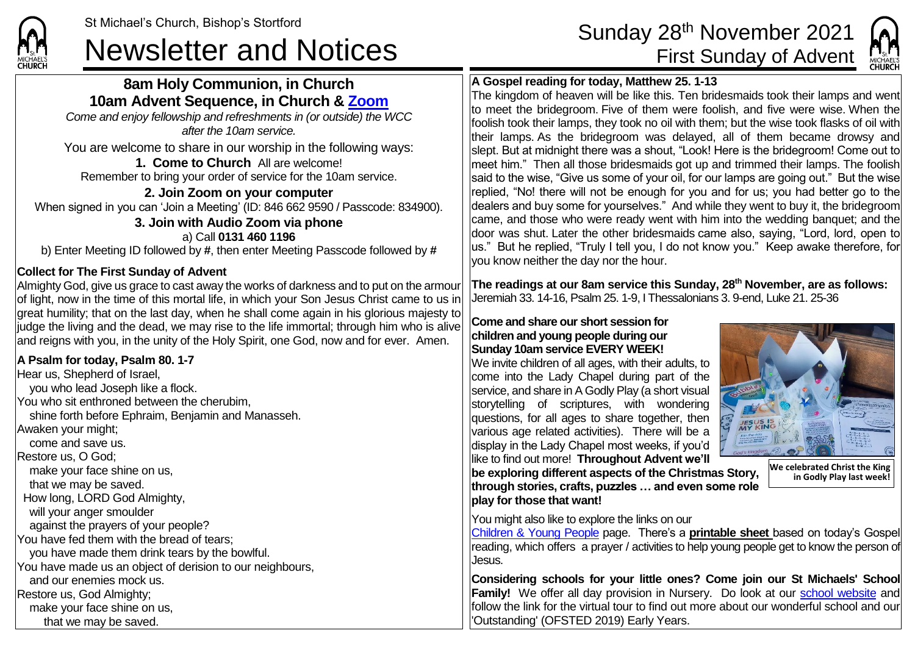**CHURCH** 

## **8am Holy Communion, in Church 10am Advent Sequence, in Church & [Zoom](https://zoom.us/)**

*Come and enjoy fellowship and refreshments in (or outside) the WCC after the 10am service.*

You are welcome to share in our worship in the following ways:

**1. Come to Church** All are welcome! Remember to bring your order of service for the 10am service.

**2. Join Zoom on your computer** When signed in you can 'Join a Meeting' (ID: 846 662 9590 / Passcode: 834900). **3. Join with Audio Zoom via phone** a) Call **0131 460 1196**

b) Enter Meeting ID followed by **#**, then enter Meeting Passcode followed by **#**

## **Collect for The First Sunday of Advent**

Almighty God, give us grace to cast away the works of darkness and to put on the armour of light, now in the time of this mortal life, in which your Son Jesus Christ came to us in great humility; that on the last day, when he shall come again in his glorious majesty to judge the living and the dead, we may rise to the life immortal; through him who is alive and reigns with you, in the unity of the Holy Spirit, one God, now and for ever. Amen.

### **A Psalm for today, Psalm 80. 1-7**

Hear us, Shepherd of Israel, you who lead Joseph like a flock. You who sit enthroned between the cherubim, shine forth before Ephraim, Benjamin and Manasseh. Awaken your might; come and save us. Restore us, O God; make your face shine on us, that we may be saved. How long, LORD God Almighty, will your anger smoulder against the prayers of your people? You have fed them with the bread of tears; you have made them drink tears by the bowlful. You have made us an object of derision to our neighbours, and our enemies mock us. Restore us, God Almighty; make your face shine on us, that we may be saved.

# St Michael's Church, Bishop's Stortford Sunday 28<sup>th</sup> November 2021<br>Newsletter and Notices First Sunday of Advent



### **A Gospel reading for today, Matthew 25. 1-13**

The kingdom of heaven will be like this. Ten bridesmaids took their lamps and went to meet the bridegroom. Five of them were foolish, and five were wise. When the foolish took their lamps, they took no oil with them; but the wise took flasks of oil with their lamps. As the bridegroom was delayed, all of them became drowsy and slept. But at midnight there was a shout, "Look! Here is the bridegroom! Come out to meet him." Then all those bridesmaids got up and trimmed their lamps. The foolish said to the wise. "Give us some of your oil, for our lamps are going out." But the wise replied, "No! there will not be enough for you and for us; you had better go to the dealers and buy some for yourselves." And while they went to buy it, the bridegroom came, and those who were ready went with him into the wedding banquet; and the door was shut. Later the other bridesmaids came also, saying, "Lord, lord, open to us." But he replied, "Truly I tell you, I do not know you." Keep awake therefore, for you know neither the day nor the hour.

**The readings at our 8am service this Sunday, 28th November, are as follows:** Jeremiah 33. 14-16, Psalm 25. 1-9, I Thessalonians 3. 9-end, Luke 21. 25-36

#### **Come and share our short session for children and young people during our Sunday 10am service EVERY WEEK!**

We invite children of all ages, with their adults, to come into the Lady Chapel during part of the service, and share in A Godly Play (a short visual storytelling of scriptures, with wondering questions, for all ages to share together, then various age related activities). There will be a display in the Lady Chapel most weeks, if you'd like to find out more! **Throughout Advent we'll** 

**be exploring different aspects of the Christmas Story, through stories, crafts, puzzles … and even some role play for those that want!**



**We celebrated Christ the King in Godly Play last week!**

You might also like to explore the links on our

[Children & Young People](https://saintmichaelweb.org.uk/Groups/310496/Children_and_Young.aspx) page. There's a **[printable sheet](https://saintmichaelweb.org.uk/Groups/310496/Children_and_Young.aspx)** based on today's Gospel reading, which offers a prayer / activities to help young people get to know the person of Jesus.

**Considering schools for your little ones? Come join our St Michaels' School Family!** We offer all day provision in Nursery. Do look at our [school website](https://www.stmichaelsjmi.herts.sch.uk/) and follow the link for the virtual tour to find out more about our wonderful school and our 'Outstanding' (OFSTED 2019) Early Years.